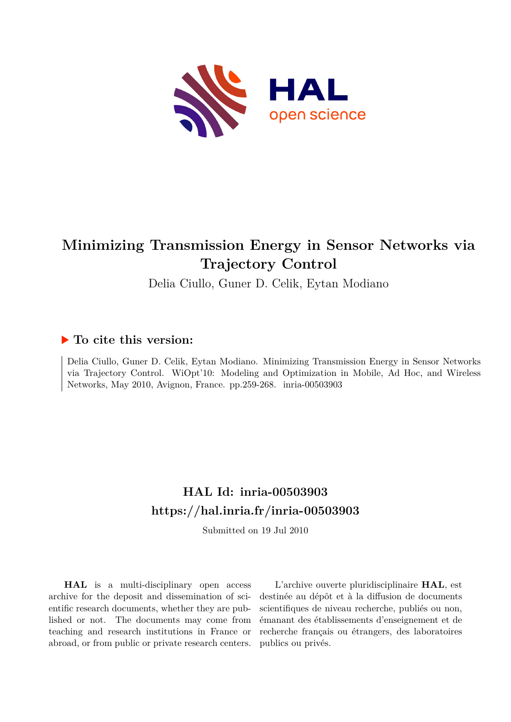

## **Minimizing Transmission Energy in Sensor Networks via Trajectory Control**

Delia Ciullo, Guner D. Celik, Eytan Modiano

### **To cite this version:**

Delia Ciullo, Guner D. Celik, Eytan Modiano. Minimizing Transmission Energy in Sensor Networks via Trajectory Control. WiOpt'10: Modeling and Optimization in Mobile, Ad Hoc, and Wireless Networks, May 2010, Avignon, France. pp.259-268. inria-00503903

## **HAL Id: inria-00503903 <https://hal.inria.fr/inria-00503903>**

Submitted on 19 Jul 2010

**HAL** is a multi-disciplinary open access archive for the deposit and dissemination of scientific research documents, whether they are published or not. The documents may come from teaching and research institutions in France or abroad, or from public or private research centers.

L'archive ouverte pluridisciplinaire **HAL**, est destinée au dépôt et à la diffusion de documents scientifiques de niveau recherche, publiés ou non, émanant des établissements d'enseignement et de recherche français ou étrangers, des laboratoires publics ou privés.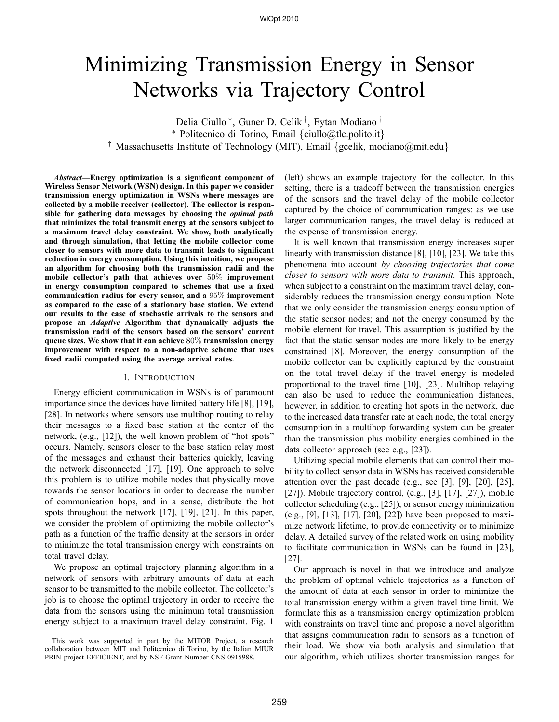# Minimizing Transmission Energy in Sensor Networks via Trajectory Control

Delia Ciullo ∗ , Guner D. Celik † , Eytan Modiano † <sup>∗</sup> Politecnico di Torino, Email {ciullo@tlc.polito.it} <sup>†</sup> Massachusetts Institute of Technology (MIT), Email {gcelik, modiano@mit.edu}

*Abstract***—Energy optimization is a significant component of Wireless Sensor Network (WSN) design. In this paper we consider transmission energy optimization in WSNs where messages are collected by a mobile receiver (collector). The collector is responsible for gathering data messages by choosing the** *optimal path* **that minimizes the total transmit energy at the sensors subject to a maximum travel delay constraint. We show, both analytically and through simulation, that letting the mobile collector come closer to sensors with more data to transmit leads to significant reduction in energy consumption. Using this intuition, we propose an algorithm for choosing both the transmission radii and the mobile collector's path that achieves over** 50% **improvement in energy consumption compared to schemes that use a fixed communication radius for every sensor, and a** 95% **improvement as compared to the case of a stationary base station. We extend our results to the case of stochastic arrivals to the sensors and propose an** *Adaptive* **Algorithm that dynamically adjusts the transmission radii of the sensors based on the sensors' current queue sizes. We show that it can achieve** 80% **transmission energy improvement with respect to a non-adaptive scheme that uses fixed radii computed using the average arrival rates.**

#### I. INTRODUCTION

Energy efficient communication in WSNs is of paramount importance since the devices have limited battery life [8], [19], [28]. In networks where sensors use multihop routing to relay their messages to a fixed base station at the center of the network, (e.g., [12]), the well known problem of "hot spots" occurs. Namely, sensors closer to the base station relay most of the messages and exhaust their batteries quickly, leaving the network disconnected [17], [19]. One approach to solve this problem is to utilize mobile nodes that physically move towards the sensor locations in order to decrease the number of communication hops, and in a sense, distribute the hot spots throughout the network [17], [19], [21]. In this paper, we consider the problem of optimizing the mobile collector's path as a function of the traffic density at the sensors in order to minimize the total transmission energy with constraints on total travel delay.

We propose an optimal trajectory planning algorithm in a network of sensors with arbitrary amounts of data at each sensor to be transmitted to the mobile collector. The collector's job is to choose the optimal trajectory in order to receive the data from the sensors using the minimum total transmission energy subject to a maximum travel delay constraint. Fig. 1

(left) shows an example trajectory for the collector. In this setting, there is a tradeoff between the transmission energies of the sensors and the travel delay of the mobile collector captured by the choice of communication ranges: as we use larger communication ranges, the travel delay is reduced at the expense of transmission energy.

It is well known that transmission energy increases super linearly with transmission distance [8], [10], [23]. We take this phenomena into account *by choosing trajectories that come closer to sensors with more data to transmit*. This approach, when subject to a constraint on the maximum travel delay, considerably reduces the transmission energy consumption. Note that we only consider the transmission energy consumption of the static sensor nodes; and not the energy consumed by the mobile element for travel. This assumption is justified by the fact that the static sensor nodes are more likely to be energy constrained [8]. Moreover, the energy consumption of the mobile collector can be explicitly captured by the constraint on the total travel delay if the travel energy is modeled proportional to the travel time [10], [23]. Multihop relaying can also be used to reduce the communication distances, however, in addition to creating hot spots in the network, due to the increased data transfer rate at each node, the total energy consumption in a multihop forwarding system can be greater than the transmission plus mobility energies combined in the data collector approach (see e.g., [23]).

Utilizing special mobile elements that can control their mobility to collect sensor data in WSNs has received considerable attention over the past decade (e.g., see [3], [9], [20], [25], [27]). Mobile trajectory control, (e.g., [3], [17], [27]), mobile collector scheduling (e.g., [25]), or sensor energy minimization (e.g., [9], [13], [17], [20], [22]) have been proposed to maximize network lifetime, to provide connectivity or to minimize delay. A detailed survey of the related work on using mobility to facilitate communication in WSNs can be found in [23], [27].

Our approach is novel in that we introduce and analyze the problem of optimal vehicle trajectories as a function of the amount of data at each sensor in order to minimize the total transmission energy within a given travel time limit. We formulate this as a transmission energy optimization problem with constraints on travel time and propose a novel algorithm that assigns communication radii to sensors as a function of their load. We show via both analysis and simulation that our algorithm, which utilizes shorter transmission ranges for

This work was supported in part by the MITOR Project, a research collaboration between MIT and Politecnico di Torino, by the Italian MIUR PRIN project EFFICIENT, and by NSF Grant Number CNS-0915988.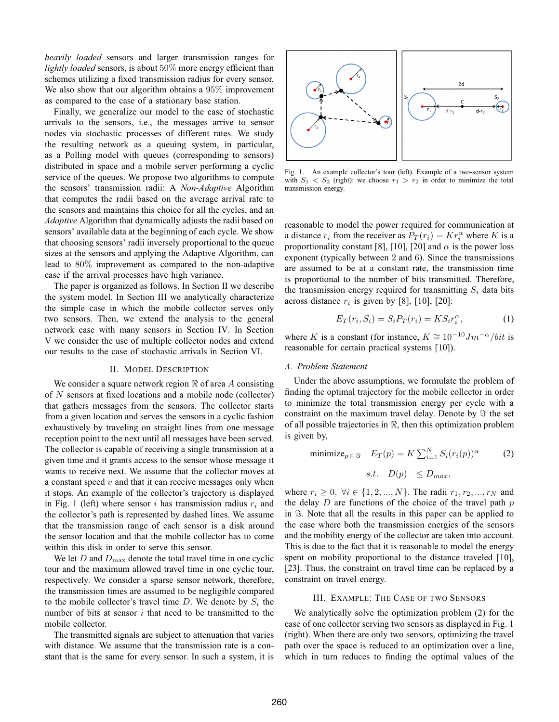*heavily loaded* sensors and larger transmission ranges for *lightly loaded* sensors, is about 50% more energy efficient than schemes utilizing a fixed transmission radius for every sensor. We also show that our algorithm obtains a 95% improvement as compared to the case of a stationary base station.

Finally, we generalize our model to the case of stochastic arrivals to the sensors, i.e., the messages arrive to sensor nodes via stochastic processes of different rates. We study the resulting network as a queuing system, in particular, as a Polling model with queues (corresponding to sensors) distributed in space and a mobile server performing a cyclic service of the queues. We propose two algorithms to compute the sensors' transmission radii: A *Non-Adaptive* Algorithm that computes the radii based on the average arrival rate to the sensors and maintains this choice for all the cycles, and an *Adaptive* Algorithm that dynamically adjusts the radii based on sensors' available data at the beginning of each cycle. We show that choosing sensors' radii inversely proportional to the queue sizes at the sensors and applying the Adaptive Algorithm, can lead to 80% improvement as compared to the non-adaptive case if the arrival processes have high variance.

The paper is organized as follows. In Section II we describe the system model. In Section III we analytically characterize the simple case in which the mobile collector serves only two sensors. Then, we extend the analysis to the general network case with many sensors in Section IV. In Section V we consider the use of multiple collector nodes and extend our results to the case of stochastic arrivals in Section VI.

#### II. MODEL DESCRIPTION

We consider a square network region  $\Re$  of area A consisting of N sensors at fixed locations and a mobile node (collector) that gathers messages from the sensors. The collector starts from a given location and serves the sensors in a cyclic fashion exhaustively by traveling on straight lines from one message reception point to the next until all messages have been served. The collector is capable of receiving a single transmission at a given time and it grants access to the sensor whose message it wants to receive next. We assume that the collector moves at a constant speed  $v$  and that it can receive messages only when it stops. An example of the collector's trajectory is displayed in Fig. 1 (left) where sensor i has transmission radius  $r_i$  and the collector's path is represented by dashed lines. We assume that the transmission range of each sensor is a disk around the sensor location and that the mobile collector has to come within this disk in order to serve this sensor.

We let  $D$  and  $D_{\text{max}}$  denote the total travel time in one cyclic tour and the maximum allowed travel time in one cyclic tour, respectively. We consider a sparse sensor network, therefore, the transmission times are assumed to be negligible compared to the mobile collector's travel time  $D$ . We denote by  $S_i$  the number of bits at sensor  $i$  that need to be transmitted to the mobile collector.

The transmitted signals are subject to attenuation that varies with distance. We assume that the transmission rate is a constant that is the same for every sensor. In such a system, it is



Fig. 1. An example collector's tour (left). Example of a two-sensor system with  $S_1 < S_2$  (right): we choose  $r_1 > r_2$  in order to minimize the total transmission energy.

reasonable to model the power required for communication at a distance  $r_i$  from the receiver as  $P_T(r_i) = Kr_i^{\alpha}$  where K is a proportionality constant [8], [10], [20] and  $\alpha$  is the power loss exponent (typically between 2 and 6). Since the transmissions are assumed to be at a constant rate, the transmission time is proportional to the number of bits transmitted. Therefore, the transmission energy required for transmitting  $S_i$  data bits across distance  $r_i$  is given by [8], [10], [20]:

$$
E_T(r_i, S_i) = S_i P_T(r_i) = K S_i r_i^{\alpha},\tag{1}
$$

where K is a constant (for instance,  $K \cong 10^{-10} J m^{-\alpha}/bit$  is reasonable for certain practical systems [10]).

#### *A. Problem Statement*

Under the above assumptions, we formulate the problem of finding the optimal trajectory for the mobile collector in order to minimize the total transmission energy per cycle with a constraint on the maximum travel delay. Denote by  $\Im$  the set of all possible trajectories in  $\Re$ , then this optimization problem is given by,

$$
\text{minimize}_{p \in \mathcal{F}} \quad E_T(p) = K \sum_{i=1}^N S_i(r_i(p))^{\alpha} \tag{2}
$$
\n
$$
s.t. \quad D(p) \leq D_{max},
$$

where  $r_i \geq 0, \forall i \in \{1, 2, ..., N\}$ . The radii  $r_1, r_2, ..., r_N$  and the delay  $D$  are functions of the choice of the travel path  $p$ in  $\Im$ . Note that all the results in this paper can be applied to the case where both the transmission energies of the sensors and the mobility energy of the collector are taken into account. This is due to the fact that it is reasonable to model the energy spent on mobility proportional to the distance traveled [10], [23]. Thus, the constraint on travel time can be replaced by a constraint on travel energy.

#### III. EXAMPLE: THE CASE OF TWO SENSORS

We analytically solve the optimization problem (2) for the case of one collector serving two sensors as displayed in Fig. 1 (right). When there are only two sensors, optimizing the travel path over the space is reduced to an optimization over a line, which in turn reduces to finding the optimal values of the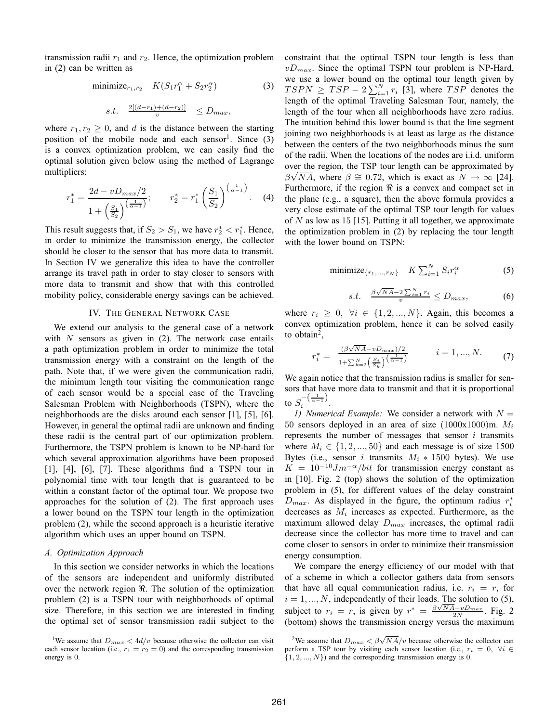transmission radii  $r_1$  and  $r_2$ . Hence, the optimization problem in (2) can be written as

minimize<sub>r<sub>1</sub>,r<sub>2</sub></sub> 
$$
K(S_1r_1^{\alpha} + S_2r_2^{\alpha})
$$
 (3)  
s.t.  $\frac{2[(d-r_1)+(d-r_2)]}{v} \le D_{max}$ ,

where  $r_1, r_2 \geq 0$ , and d is the distance between the starting position of the mobile node and each sensor<sup>1</sup>. Since  $(3)$ is a convex optimization problem, we can easily find the optimal solution given below using the method of Lagrange multipliers:

$$
r_1^* = \frac{2d - vD_{max}/2}{1 + \left(\frac{S_1}{S_2}\right)^{\left(\frac{1}{\alpha - 1}\right)}}; \qquad r_2^* = r_1^* \left(\frac{S_1}{S_2}\right)^{\left(\frac{1}{\alpha - 1}\right)}.
$$
 (4)

This result suggests that, if  $S_2 > S_1$ , we have  $r_2^* < r_1^*$ . Hence, in order to minimize the transmission energy, the collector should be closer to the sensor that has more data to transmit. In Section IV we generalize this idea to have the controller arrange its travel path in order to stay closer to sensors with more data to transmit and show that with this controlled mobility policy, considerable energy savings can be achieved.

#### IV. THE GENERAL NETWORK CASE

We extend our analysis to the general case of a network with  $N$  sensors as given in  $(2)$ . The network case entails a path optimization problem in order to minimize the total transmission energy with a constraint on the length of the path. Note that, if we were given the communication radii, the minimum length tour visiting the communication range of each sensor would be a special case of the Traveling Salesman Problem with Neighborhoods (TSPN), where the neighborhoods are the disks around each sensor [1], [5], [6]. However, in general the optimal radii are unknown and finding these radii is the central part of our optimization problem. Furthermore, the TSPN problem is known to be NP-hard for which several approximation algorithms have been proposed [1], [4], [6], [7]. These algorithms find a TSPN tour in polynomial time with tour length that is guaranteed to be within a constant factor of the optimal tour. We propose two approaches for the solution of (2). The first approach uses a lower bound on the TSPN tour length in the optimization problem (2), while the second approach is a heuristic iterative algorithm which uses an upper bound on TSPN.

#### *A. Optimization Approach*

In this section we consider networks in which the locations of the sensors are independent and uniformly distributed over the network region ℜ. The solution of the optimization problem (2) is a TSPN tour with neighborhoods of optimal size. Therefore, in this section we are interested in finding the optimal set of sensor transmission radii subject to the constraint that the optimal TSPN tour length is less than  $vD_{max}$ . Since the optimal TSPN tour problem is NP-Hard, we use a lower bound on the optimal tour length given by  $TSPN \geq TSP - 2\sum_{i=1}^{N} r_i$  [3], where  $TSP$  denotes the length of the optimal Traveling Salesman Tour, namely, the length of the tour when all neighborhoods have zero radius. The intuition behind this lower bound is that the line segment joining two neighborhoods is at least as large as the distance between the centers of the two neighborhoods minus the sum of the radii. When the locations of the nodes are i.i.d. uniform over the region, the TSP tour length can be approximated by  $\beta\sqrt{NA}$ , where  $\beta \cong 0.72$ , which is exact as  $N \to \infty$  [24]. Furthermore, if the region  $\Re$  is a convex and compact set in the plane (e.g., a square), then the above formula provides a very close estimate of the optimal TSP tour length for values of  $N$  as low as 15 [15]. Putting it all together, we approximate the optimization problem in (2) by replacing the tour length with the lower bound on TSPN:

$$
\text{minimize}_{\{r_1, \dots, r_N\}} \quad K \sum_{i=1}^N S_i r_i^{\alpha} \tag{5}
$$

$$
s.t. \quad \frac{\beta\sqrt{NA} - 2\sum_{i=1}^{N} r_i}{v} \le D_{max}, \tag{6}
$$

where  $r_i \geq 0$ ,  $\forall i \in \{1, 2, ..., N\}$ . Again, this becomes a convex optimization problem, hence it can be solved easily to obtain<sup>2</sup>,

$$
r_i^* = \frac{(\beta \sqrt{NA} - vD_{max})/2}{1 + \sum_{k=2}^{N} \left(\frac{S_i}{S_k}\right) \left(\frac{1}{\alpha - 1}\right)} \qquad i = 1, ..., N. \tag{7}
$$

We again notice that the transmission radius is smaller for sensors that have more data to transmit and that it is proportional to  $S_i^{-\left(\frac{1}{\alpha-1}\right)}$  $i^{\alpha-1}$ .

*1) Numerical Example:* We consider a network with  $N =$ 50 sensors deployed in an area of size  $(1000x1000)$ m.  $M_i$ represents the number of messages that sensor  $i$  transmits where  $M_i \in \{1, 2, ..., 50\}$  and each message is of size 1500 Bytes (i.e., sensor i transmits  $M_i * 1500$  bytes). We use  $K = 10^{-10} J m^{-\alpha} / bit$  for transmission energy constant as in [10]. Fig. 2 (top) shows the solution of the optimization problem in (5), for different values of the delay constraint  $D_{max}$ . As displayed in the figure, the optimum radius  $r_i^*$ decreases as  $M_i$  increases as expected. Furthermore, as the maximum allowed delay  $D_{max}$  increases, the optimal radii decrease since the collector has more time to travel and can come closer to sensors in order to minimize their transmission energy consumption.

We compare the energy efficiency of our model with that of a scheme in which a collector gathers data from sensors that have all equal communication radius, i.e.  $r_i = r$ , for  $i = 1, ..., N$ , independently of their loads. The solution to (5), subject to  $r_i = r$ , is given by  $r^* = \frac{\beta \sqrt{NA} - vD_{max}}{2N}$ . Fig. 2 (bottom) shows the transmission energy versus the maximum

<sup>&</sup>lt;sup>1</sup>We assume that  $D_{max} < 4d/v$  because otherwise the collector can visit each sensor location (i.e.,  $r_1 = r_2 = 0$ ) and the corresponding transmission energy is 0.

<sup>&</sup>lt;sup>2</sup>We assume that  $D_{max} < \beta \sqrt{NA}/v$  because otherwise the collector can perform a TSP tour by visiting each sensor location (i.e.,  $r_i = 0$ ,  $\forall i \in$  $\{1, 2, ..., N\}$  and the corresponding transmission energy is 0.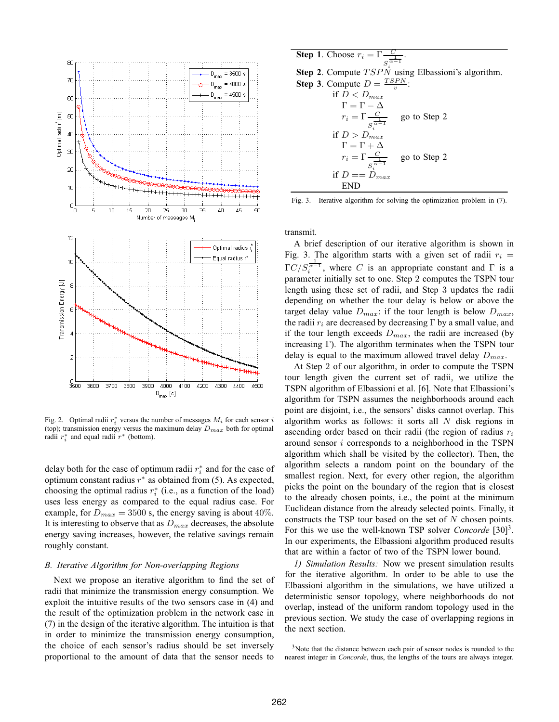

Fig. 2. Optimal radii  $r_i^*$  versus the number of messages  $M_i$  for each sensor i (top); transmission energy versus the maximum delay  $D_{max}$  both for optimal radii  $r_i^*$  and equal radii  $r^*$  (bottom).

delay both for the case of optimum radii  $r_i^*$  and for the case of optimum constant radius  $r^*$  as obtained from (5). As expected, choosing the optimal radius  $r_i^*$  (i.e., as a function of the load) uses less energy as compared to the equal radius case. For example, for  $D_{max} = 3500$  s, the energy saving is about 40%. It is interesting to observe that as  $D_{max}$  decreases, the absolute energy saving increases, however, the relative savings remain roughly constant.

#### *B. Iterative Algorithm for Non-overlapping Regions*

Next we propose an iterative algorithm to find the set of radii that minimize the transmission energy consumption. We exploit the intuitive results of the two sensors case in (4) and the result of the optimization problem in the network case in (7) in the design of the iterative algorithm. The intuition is that in order to minimize the transmission energy consumption, the choice of each sensor's radius should be set inversely proportional to the amount of data that the sensor needs to

**Step 1.** Choose 
$$
r_i = \Gamma \frac{C_1}{S_i^{\frac{1}{\alpha}-1}}
$$
.  
\n**Step 2.** Compute *TSPN* using Elbassioni's algorithm.  
\n**Step 3.** Compute  $D = \frac{TSPN}{v}$ :  
\nif  $D < D_{max}$   
\n $\Gamma = \Gamma - \Delta$   
\n $r_i = \Gamma \frac{C}{S_i^{\frac{1}{\alpha}-1}}$  go to Step 2  
\nif  $D > D_{max}$   
\n $\Gamma = \Gamma + \Delta$   
\n $r_i = \Gamma \frac{C}{S_i^{\frac{1}{\alpha}-1}}$  go to Step 2  
\nif  $D = D_{max}$   
\nEND

Fig. 3. Iterative algorithm for solving the optimization problem in (7).

transmit.

A brief description of our iterative algorithm is shown in Fig. 3. The algorithm starts with a given set of radii  $r_i =$  $\Gamma C/S_i^{\overline{\alpha-1}}$ , where C is an appropriate constant and  $\Gamma$  is a parameter initially set to one. Step 2 computes the TSPN tour length using these set of radii, and Step 3 updates the radii depending on whether the tour delay is below or above the target delay value  $D_{max}$ : if the tour length is below  $D_{max}$ , the radii  $r_i$  are decreased by decreasing  $\Gamma$  by a small value, and if the tour length exceeds  $D_{max}$ , the radii are increased (by increasing Γ). The algorithm terminates when the TSPN tour delay is equal to the maximum allowed travel delay  $D_{max}$ .

At Step 2 of our algorithm, in order to compute the TSPN tour length given the current set of radii, we utilize the TSPN algorithm of Elbassioni et al. [6]. Note that Elbassioni's algorithm for TSPN assumes the neighborhoods around each point are disjoint, i.e., the sensors' disks cannot overlap. This algorithm works as follows: it sorts all  $N$  disk regions in ascending order based on their radii (the region of radius  $r_i$ around sensor i corresponds to a neighborhood in the TSPN algorithm which shall be visited by the collector). Then, the algorithm selects a random point on the boundary of the smallest region. Next, for every other region, the algorithm picks the point on the boundary of the region that is closest to the already chosen points, i.e., the point at the minimum Euclidean distance from the already selected points. Finally, it constructs the TSP tour based on the set of  $N$  chosen points. For this we use the well-known TSP solver *Concorde* [30]<sup>3</sup>. In our experiments, the Elbassioni algorithm produced results that are within a factor of two of the TSPN lower bound.

*1) Simulation Results:* Now we present simulation results for the iterative algorithm. In order to be able to use the Elbassioni algorithm in the simulations, we have utilized a deterministic sensor topology, where neighborhoods do not overlap, instead of the uniform random topology used in the previous section. We study the case of overlapping regions in the next section.

<sup>3</sup>Note that the distance between each pair of sensor nodes is rounded to the nearest integer in *Concorde*, thus, the lengths of the tours are always integer.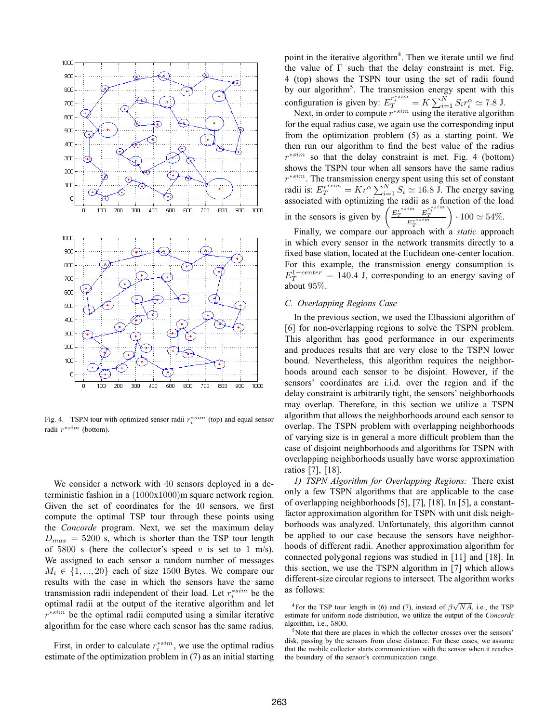

Fig. 4. TSPN tour with optimized sensor radii  $r_i^{*sim}$  (top) and equal sensor radii  $r^{*sim}$  (bottom).

We consider a network with 40 sensors deployed in a deterministic fashion in a (1000x1000)m square network region. Given the set of coordinates for the 40 sensors, we first compute the optimal TSP tour through these points using the *Concorde* program. Next, we set the maximum delay  $D_{max} = 5200$  s, which is shorter than the TSP tour length of 5800 s (here the collector's speed v is set to 1 m/s). We assigned to each sensor a random number of messages  $M_i \in \{1, ..., 20\}$  each of size 1500 Bytes. We compare our results with the case in which the sensors have the same transmission radii independent of their load. Let  $r_i^{*sim}$  be the optimal radii at the output of the iterative algorithm and let  $r^{*sim}$  be the optimal radii computed using a similar iterative algorithm for the case where each sensor has the same radius.

First, in order to calculate  $r_i^{*sim}$ , we use the optimal radius estimate of the optimization problem in (7) as an initial starting

point in the iterative algorithm<sup>4</sup>. Then we iterate until we find the value of  $\Gamma$  such that the delay constraint is met. Fig. 4 (top) shows the TSPN tour using the set of radii found by our algorithm<sup>5</sup>. The transmission energy spent with this configuration is given by:  $E_T^{r_i^{esim}} = K \sum_{i=1}^{N} S_i r_i^{\alpha} \approx 7.8 \text{ J.}$ 

Next, in order to compute  $r^{*sim}$  using the iterative algorithm for the equal radius case, we again use the corresponding input from the optimization problem (5) as a starting point. We then run our algorithm to find the best value of the radius  $r^{*sim}$  so that the delay constraint is met. Fig. 4 (bottom) shows the TSPN tour when all sensors have the same radius  $r^{*sim}$ . The transmission energy spent using this set of constant radii is:  $E_T^{r^{*sim}} = Kr^{\alpha} \sum_{i=1}^{N} S_i \simeq 16.8$  J. The energy saving associated with optimizing the radii as a function of the load in the sensors is given by  $\left(\frac{E_T^{r^{*sim}} - E_T^{r^{*sim}_t}}{E_T^{r^{*sim}_t}}\right)$  $\Big) \cdot 100 \simeq 54\%.$ 

Finally, we compare our approach with a *static* approach in which every sensor in the network transmits directly to a fixed base station, located at the Euclidean one-center location. For this example, the transmission energy consumption is  $E_T^{1-center} = 140.4$  J, corresponding to an energy saving of about 95%.

#### *C. Overlapping Regions Case*

In the previous section, we used the Elbassioni algorithm of [6] for non-overlapping regions to solve the TSPN problem. This algorithm has good performance in our experiments and produces results that are very close to the TSPN lower bound. Nevertheless, this algorithm requires the neighborhoods around each sensor to be disjoint. However, if the sensors' coordinates are i.i.d. over the region and if the delay constraint is arbitrarily tight, the sensors' neighborhoods may overlap. Therefore, in this section we utilize a TSPN algorithm that allows the neighborhoods around each sensor to overlap. The TSPN problem with overlapping neighborhoods of varying size is in general a more difficult problem than the case of disjoint neighborhoods and algorithms for TSPN with overlapping neighborhoods usually have worse approximation ratios [7], [18].

*1) TSPN Algorithm for Overlapping Regions:* There exist only a few TSPN algorithms that are applicable to the case of overlapping neighborhoods [5], [7], [18]. In [5], a constantfactor approximation algorithm for TSPN with unit disk neighborhoods was analyzed. Unfortunately, this algorithm cannot be applied to our case because the sensors have neighborhoods of different radii. Another approximation algorithm for connected polygonal regions was studied in [11] and [18]. In this section, we use the TSPN algorithm in [7] which allows different-size circular regions to intersect. The algorithm works as follows:

<sup>4</sup>For the TSP tour length in (6) and (7), instead of  $\beta\sqrt{NA}$ , i.e., the TSP estimate for uniform node distribution, we utilize the output of the *Concorde* algorithm, i.e., 5800.

 $5$ Note that there are places in which the collector crosses over the sensors' disk, passing by the sensors from close distance. For these cases, we assume that the mobile collector starts communication with the sensor when it reaches the boundary of the sensor's communication range.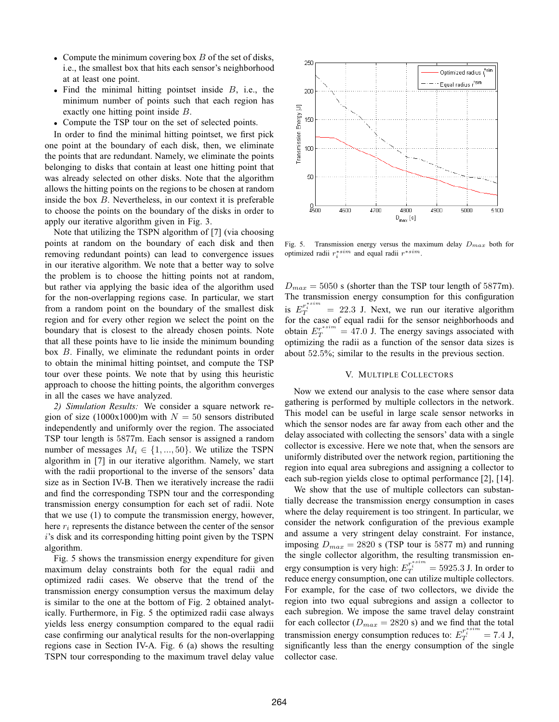- Compute the minimum covering box  $B$  of the set of disks, i.e., the smallest box that hits each sensor's neighborhood at at least one point.
- Find the minimal hitting pointset inside  $B$ , i.e., the minimum number of points such that each region has exactly one hitting point inside B.
- Compute the TSP tour on the set of selected points.

In order to find the minimal hitting pointset, we first pick one point at the boundary of each disk, then, we eliminate the points that are redundant. Namely, we eliminate the points belonging to disks that contain at least one hitting point that was already selected on other disks. Note that the algorithm allows the hitting points on the regions to be chosen at random inside the box B. Nevertheless, in our context it is preferable to choose the points on the boundary of the disks in order to apply our iterative algorithm given in Fig. 3.

Note that utilizing the TSPN algorithm of [7] (via choosing points at random on the boundary of each disk and then removing redundant points) can lead to convergence issues in our iterative algorithm. We note that a better way to solve the problem is to choose the hitting points not at random, but rather via applying the basic idea of the algorithm used for the non-overlapping regions case. In particular, we start from a random point on the boundary of the smallest disk region and for every other region we select the point on the boundary that is closest to the already chosen points. Note that all these points have to lie inside the minimum bounding box B. Finally, we eliminate the redundant points in order to obtain the minimal hitting pointset, and compute the TSP tour over these points. We note that by using this heuristic approach to choose the hitting points, the algorithm converges in all the cases we have analyzed.

*2) Simulation Results:* We consider a square network region of size (1000x1000)m with  $N = 50$  sensors distributed independently and uniformly over the region. The associated TSP tour length is 5877m. Each sensor is assigned a random number of messages  $M_i \in \{1, ..., 50\}$ . We utilize the TSPN algorithm in [7] in our iterative algorithm. Namely, we start with the radii proportional to the inverse of the sensors' data size as in Section IV-B. Then we iteratively increase the radii and find the corresponding TSPN tour and the corresponding transmission energy consumption for each set of radii. Note that we use (1) to compute the transmission energy, however, here  $r_i$  represents the distance between the center of the sensor i's disk and its corresponding hitting point given by the TSPN algorithm.

Fig. 5 shows the transmission energy expenditure for given maximum delay constraints both for the equal radii and optimized radii cases. We observe that the trend of the transmission energy consumption versus the maximum delay is similar to the one at the bottom of Fig. 2 obtained analytically. Furthermore, in Fig. 5 the optimized radii case always yields less energy consumption compared to the equal radii case confirming our analytical results for the non-overlapping regions case in Section IV-A. Fig. 6 (a) shows the resulting TSPN tour corresponding to the maximum travel delay value



Fig. 5. Transmission energy versus the maximum delay  $D_{max}$  both for optimized radii  $r_i^{*sim}$  and equal radii  $r^{*sim}$ .

 $D_{max} = 5050$  s (shorter than the TSP tour length of 5877m). The transmission energy consumption for this configuration is  $E_T^{r_i^{s,sim}} = 22.3$  J. Next, we run our iterative algorithm for the case of equal radii for the sensor neighborhoods and obtain  $E_T^{r^{*sim}} = 47.0$  J. The energy savings associated with optimizing the radii as a function of the sensor data sizes is about 52.5%; similar to the results in the previous section.

#### V. MULTIPLE COLLECTORS

Now we extend our analysis to the case where sensor data gathering is performed by multiple collectors in the network. This model can be useful in large scale sensor networks in which the sensor nodes are far away from each other and the delay associated with collecting the sensors' data with a single collector is excessive. Here we note that, when the sensors are uniformly distributed over the network region, partitioning the region into equal area subregions and assigning a collector to each sub-region yields close to optimal performance [2], [14].

We show that the use of multiple collectors can substantially decrease the transmission energy consumption in cases where the delay requirement is too stringent. In particular, we consider the network configuration of the previous example and assume a very stringent delay constraint. For instance, imposing  $D_{max} = 2820$  s (TSP tour is 5877 m) and running the single collector algorithm, the resulting transmission energy consumption is very high:  $E_T^{r_i^{s,sm}} = 5925.3$  J. In order to reduce energy consumption, one can utilize multiple collectors. For example, for the case of two collectors, we divide the region into two equal subregions and assign a collector to each subregion. We impose the same travel delay constraint for each collector ( $D_{max} = 2820$  s) and we find that the total transmission energy consumption reduces to:  $E_T^{r_i^{ssim}} = 7.4$  J, significantly less than the energy consumption of the single collector case.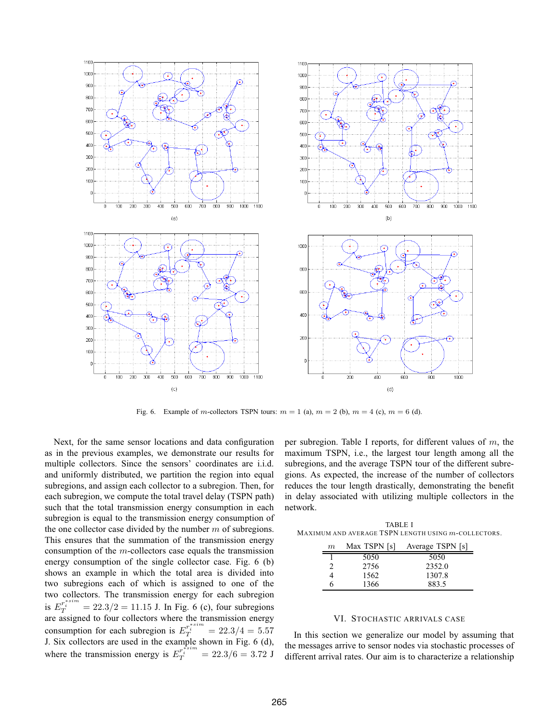

Fig. 6. Example of m-collectors TSPN tours:  $m = 1$  (a),  $m = 2$  (b),  $m = 4$  (c),  $m = 6$  (d).

Next, for the same sensor locations and data configuration as in the previous examples, we demonstrate our results for multiple collectors. Since the sensors' coordinates are i.i.d. and uniformly distributed, we partition the region into equal subregions, and assign each collector to a subregion. Then, for each subregion, we compute the total travel delay (TSPN path) such that the total transmission energy consumption in each subregion is equal to the transmission energy consumption of the one collector case divided by the number  $m$  of subregions. This ensures that the summation of the transmission energy consumption of the m-collectors case equals the transmission energy consumption of the single collector case. Fig. 6 (b) shows an example in which the total area is divided into two subregions each of which is assigned to one of the two collectors. The transmission energy for each subregion is  $E_T^{r_i^{asim}} = 22.3/2 = 11.15$  J. In Fig. 6 (c), four subregions are assigned to four collectors where the transmission energy consumption for each subregion is  $E_T^{r_i^{s,sim}} = 22.3/4 = 5.57$ J. Six collectors are used in the example shown in Fig. 6 (d), where the transmission energy is  $E_T^{r^{*sim}} = 22.3/6 = 3.72$  J

per subregion. Table I reports, for different values of  $m$ , the maximum TSPN, i.e., the largest tour length among all the subregions, and the average TSPN tour of the different subregions. As expected, the increase of the number of collectors reduces the tour length drastically, demonstrating the benefit in delay associated with utilizing multiple collectors in the network.

TABLE I MAXIMUM AND AVERAGE TSPN LENGTH USING  $m$ -COLLECTORS.

| m | Max TSPN [s] | Average TSPN [s] |
|---|--------------|------------------|
|   | 5050         | 5050             |
|   | 2756         | 2352.0           |
|   | 1562         | 1307.8           |
| 6 | 1366         | 883.5            |

#### VI. STOCHASTIC ARRIVALS CASE

In this section we generalize our model by assuming that the messages arrive to sensor nodes via stochastic processes of different arrival rates. Our aim is to characterize a relationship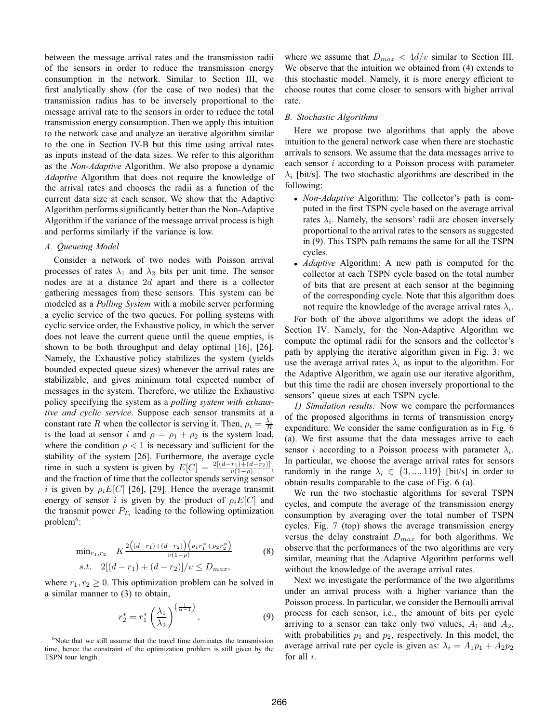between the message arrival rates and the transmission radii of the sensors in order to reduce the transmission energy consumption in the network. Similar to Section III, we first analytically show (for the case of two nodes) that the transmission radius has to be inversely proportional to the message arrival rate to the sensors in order to reduce the total transmission energy consumption. Then we apply this intuition to the network case and analyze an iterative algorithm similar to the one in Section IV-B but this time using arrival rates as inputs instead of the data sizes. We refer to this algorithm as the *Non-Adaptive* Algorithm. We also propose a dynamic *Adaptive* Algorithm that does not require the knowledge of the arrival rates and chooses the radii as a function of the current data size at each sensor. We show that the Adaptive Algorithm performs significantly better than the Non-Adaptive Algorithm if the variance of the message arrival process is high and performs similarly if the variance is low.

#### *A. Queueing Model*

Consider a network of two nodes with Poisson arrival processes of rates  $\lambda_1$  and  $\lambda_2$  bits per unit time. The sensor nodes are at a distance 2d apart and there is a collector gathering messages from these sensors. This system can be modeled as a *Polling System* with a mobile server performing a cyclic service of the two queues. For polling systems with cyclic service order, the Exhaustive policy, in which the server does not leave the current queue until the queue empties, is shown to be both throughput and delay optimal [16], [26]. Namely, the Exhaustive policy stabilizes the system (yields bounded expected queue sizes) whenever the arrival rates are stabilizable, and gives minimum total expected number of messages in the system. Therefore, we utilize the Exhaustive policy specifying the system as a *polling system with exhaustive and cyclic service*. Suppose each sensor transmits at a constant rate R when the collector is serving it. Then,  $\rho_i = \frac{\lambda_i}{R}$ is the load at sensor i and  $\rho = \rho_1 + \rho_2$  is the system load, where the condition  $\rho < 1$  is necessary and sufficient for the stability of the system [26]. Furthermore, the average cycle time in such a system is given by  $E[C] = \frac{2[(d-r_1)+(d-r_2)]}{v(1-\rho)},$ and the fraction of time that the collector spends serving sensor i is given by  $\rho_i E[C]$  [26], [29]. Hence the average transmit energy of sensor i is given by the product of  $\rho_i E[C]$  and the transmit power  $P_{T_i}$  leading to the following optimization  $problem<sup>6</sup>$ :

$$
\min_{r_1, r_2} K \frac{2((d-r_1) + (d-r_2)) (\rho_1 r_1^{\alpha} + \rho_2 r_2^{\alpha})}{v(1-\rho)}
$$
\n
$$
s.t. \quad 2[(d-r_1) + (d-r_2)]/v \le D_{max},
$$
\n(8)

where  $r_1, r_2 \geq 0$ . This optimization problem can be solved in a similar manner to (3) to obtain,

$$
r_2^* = r_1^* \left(\frac{\lambda_1}{\lambda_2}\right)^{\left(\frac{1}{\alpha - 1}\right)},\tag{9}
$$

 $6$ Note that we still assume that the travel time dominates the transmission time, hence the constraint of the optimization problem is still given by the TSPN tour length.

where we assume that  $D_{max} < 4d/v$  similar to Section III. We observe that the intuition we obtained from (4) extends to this stochastic model. Namely, it is more energy efficient to choose routes that come closer to sensors with higher arrival rate.

#### *B. Stochastic Algorithms*

Here we propose two algorithms that apply the above intuition to the general network case when there are stochastic arrivals to sensors. We assume that the data messages arrive to each sensor i according to a Poisson process with parameter  $\lambda_i$  [bit/s]. The two stochastic algorithms are described in the following:

- *Non-Adaptive* Algorithm: The collector's path is computed in the first TSPN cycle based on the average arrival rates  $\lambda_i$ . Namely, the sensors' radii are chosen inversely proportional to the arrival rates to the sensors as suggested in (9). This TSPN path remains the same for all the TSPN cycles.
- *Adaptive* Algorithm: A new path is computed for the collector at each TSPN cycle based on the total number of bits that are present at each sensor at the beginning of the corresponding cycle. Note that this algorithm does not require the knowledge of the average arrival rates  $\lambda_i$ .

For both of the above algorithms we adopt the ideas of Section IV. Namely, for the Non-Adaptive Algorithm we compute the optimal radii for the sensors and the collector's path by applying the iterative algorithm given in Fig. 3: we use the average arrival rates  $\lambda_i$  as input to the algorithm. For the Adaptive Algorithm, we again use our iterative algorithm, but this time the radii are chosen inversely proportional to the sensors' queue sizes at each TSPN cycle.

*1) Simulation results:* Now we compare the performances of the proposed algorithms in terms of transmission energy expenditure. We consider the same configuration as in Fig. 6 (a). We first assume that the data messages arrive to each sensor *i* according to a Poisson process with parameter  $\lambda_i$ . In particular, we choose the average arrival rates for sensors randomly in the range  $\lambda_i \in \{3, ..., 119\}$  [bit/s] in order to obtain results comparable to the case of Fig. 6 (a).

We run the two stochastic algorithms for several TSPN cycles, and compute the average of the transmission energy consumption by averaging over the total number of TSPN cycles. Fig. 7 (top) shows the average transmission energy versus the delay constraint  $D_{max}$  for both algorithms. We observe that the performances of the two algorithms are very similar, meaning that the Adaptive Algorithm performs well without the knowledge of the average arrival rates.

Next we investigate the performance of the two algorithms under an arrival process with a higher variance than the Poisson process. In particular, we consider the Bernoulli arrival process for each sensor, i.e., the amount of bits per cycle arriving to a sensor can take only two values,  $A_1$  and  $A_2$ , with probabilities  $p_1$  and  $p_2$ , respectively. In this model, the average arrival rate per cycle is given as:  $\lambda_i = A_1 p_1 + A_2 p_2$ for all  $i$ .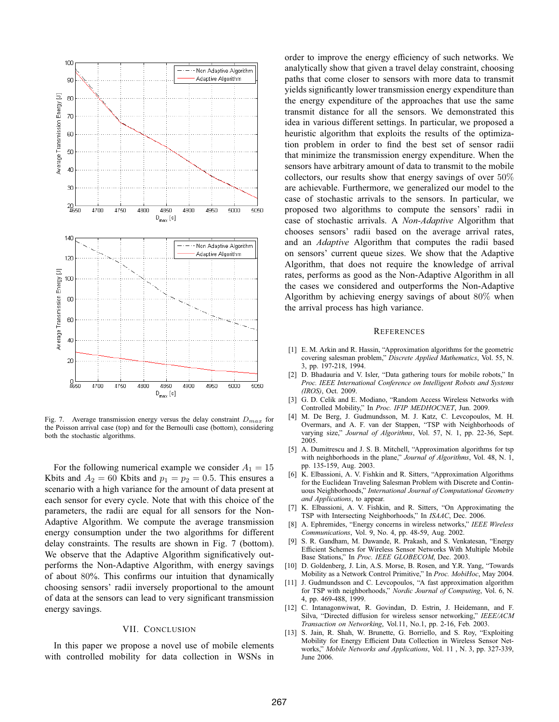

Fig. 7. Average transmission energy versus the delay constraint  $D_{max}$  for the Poisson arrival case (top) and for the Bernoulli case (bottom), considering both the stochastic algorithms.

For the following numerical example we consider  $A_1 = 15$ Kbits and  $A_2 = 60$  Kbits and  $p_1 = p_2 = 0.5$ . This ensures a scenario with a high variance for the amount of data present at each sensor for every cycle. Note that with this choice of the parameters, the radii are equal for all sensors for the Non-Adaptive Algorithm. We compute the average transmission energy consumption under the two algorithms for different delay constraints. The results are shown in Fig. 7 (bottom). We observe that the Adaptive Algorithm significatively outperforms the Non-Adaptive Algorithm, with energy savings of about 80%. This confirms our intuition that dynamically choosing sensors' radii inversely proportional to the amount of data at the sensors can lead to very significant transmission energy savings.

#### VII. CONCLUSION

In this paper we propose a novel use of mobile elements with controlled mobility for data collection in WSNs in order to improve the energy efficiency of such networks. We analytically show that given a travel delay constraint, choosing paths that come closer to sensors with more data to transmit yields significantly lower transmission energy expenditure than the energy expenditure of the approaches that use the same transmit distance for all the sensors. We demonstrated this idea in various different settings. In particular, we proposed a heuristic algorithm that exploits the results of the optimization problem in order to find the best set of sensor radii that minimize the transmission energy expenditure. When the sensors have arbitrary amount of data to transmit to the mobile collectors, our results show that energy savings of over  $50\%$ are achievable. Furthermore, we generalized our model to the case of stochastic arrivals to the sensors. In particular, we proposed two algorithms to compute the sensors' radii in case of stochastic arrivals. A *Non-Adaptive* Algorithm that chooses sensors' radii based on the average arrival rates, and an *Adaptive* Algorithm that computes the radii based on sensors' current queue sizes. We show that the Adaptive Algorithm, that does not require the knowledge of arrival rates, performs as good as the Non-Adaptive Algorithm in all the cases we considered and outperforms the Non-Adaptive Algorithm by achieving energy savings of about 80% when the arrival process has high variance.

#### **REFERENCES**

- [1] E. M. Arkin and R. Hassin, "Approximation algorithms for the geometric covering salesman problem," *Discrete Applied Mathematics*, Vol. 55, N. 3, pp. 197-218, 1994.
- [2] D. Bhadauria and V. Isler, "Data gathering tours for mobile robots," In *Proc. IEEE International Conference on Intelligent Robots and Systems (IROS)*, Oct. 2009.
- [3] G. D. Celik and E. Modiano, "Random Access Wireless Networks with Controlled Mobility," In *Proc. IFIP MEDHOCNET*, Jun. 2009.
- [4] M. De Berg, J. Gudmundsson, M. J. Katz, C. Levcopoulos, M. H. Overmars, and A. F. van der Stappen, "TSP with Neighborhoods of varying size," *Journal of Algorithms*, Vol. 57, N. 1, pp. 22-36, Sept. 2005.
- [5] A. Dumitrescu and J. S. B. Mitchell, "Approximation algorithms for tsp with neighborhoods in the plane," *Journal of Algorithms*, Vol. 48, N. 1, pp. 135-159, Aug. 2003.
- [6] K. Elbassioni, A. V. Fishkin and R. Sitters, "Approximation Algorithms for the Euclidean Traveling Salesman Problem with Discrete and Continuous Neighborhoods," *International Journal of Computational Geometry and Applications*, to appear.
- [7] K. Elbassioni, A. V. Fishkin, and R. Sitters, "On Approximating the TSP with Intersecting Neighborhoods," In *ISAAC*, Dec. 2006.
- [8] A. Ephremides, "Energy concerns in wireless networks," *IEEE Wireless Communications*, Vol. 9, No. 4, pp. 48-59, Aug. 2002.
- [9] S. R. Gandham, M. Dawande, R. Prakash, and S. Venkatesan, "Energy Efficient Schemes for Wireless Sensor Networks With Multiple Mobile Base Stations," In *Proc. IEEE GLOBECOM*, Dec. 2003.
- [10] D. Goldenberg, J. Lin, A.S. Morse, B. Rosen, and Y.R. Yang, "Towards Mobility as a Network Control Primitive," In *Proc. MobiHoc*, May 2004.
- [11] J. Gudmundsson and C. Levcopoulos, "A fast approximation algorithm for TSP with neighborhoods," *Nordic Journal of Computing*, Vol. 6, N. 4, pp. 469-488, 1999.
- [12] C. Intanagonwiwat, R. Govindan, D. Estrin, J. Heidemann, and F. Silva, "Directed diffusion for wireless sensor networking," *IEEE/ACM Transaction on Networking*, Vol.11, No.1, pp. 2-16, Feb. 2003.
- [13] S. Jain, R. Shah, W. Brunette, G. Borriello, and S. Roy, "Exploiting Mobility for Energy Efficient Data Collection in Wireless Sensor Networks," *Mobile Networks and Applications*, Vol. 11 , N. 3, pp. 327-339, June 2006.